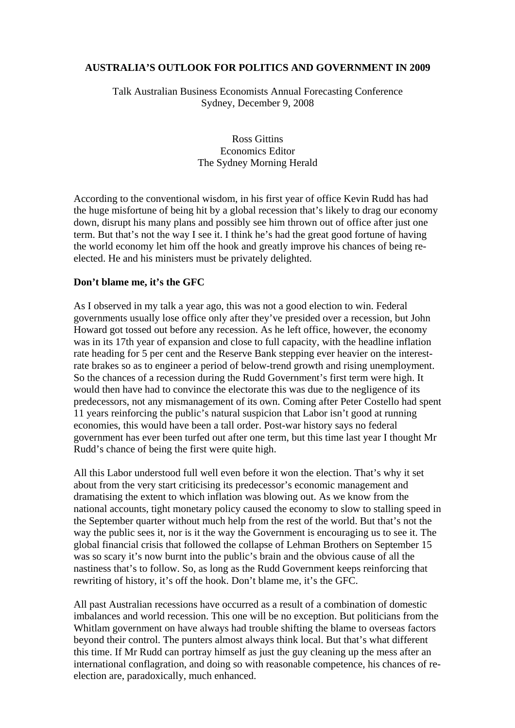## **AUSTRALIA'S OUTLOOK FOR POLITICS AND GOVERNMENT IN 2009**

Talk Australian Business Economists Annual Forecasting Conference Sydney, December 9, 2008

> Ross Gittins Economics Editor The Sydney Morning Herald

According to the conventional wisdom, in his first year of office Kevin Rudd has had the huge misfortune of being hit by a global recession that's likely to drag our economy down, disrupt his many plans and possibly see him thrown out of office after just one term. But that's not the way I see it. I think he's had the great good fortune of having the world economy let him off the hook and greatly improve his chances of being reelected. He and his ministers must be privately delighted.

## **Don't blame me, it's the GFC**

As I observed in my talk a year ago, this was not a good election to win. Federal governments usually lose office only after they've presided over a recession, but John Howard got tossed out before any recession. As he left office, however, the economy was in its 17th year of expansion and close to full capacity, with the headline inflation rate heading for 5 per cent and the Reserve Bank stepping ever heavier on the interestrate brakes so as to engineer a period of below-trend growth and rising unemployment. So the chances of a recession during the Rudd Government's first term were high. It would then have had to convince the electorate this was due to the negligence of its predecessors, not any mismanagement of its own. Coming after Peter Costello had spent 11 years reinforcing the public's natural suspicion that Labor isn't good at running economies, this would have been a tall order. Post-war history says no federal government has ever been turfed out after one term, but this time last year I thought Mr Rudd's chance of being the first were quite high.

All this Labor understood full well even before it won the election. That's why it set about from the very start criticising its predecessor's economic management and dramatising the extent to which inflation was blowing out. As we know from the national accounts, tight monetary policy caused the economy to slow to stalling speed in the September quarter without much help from the rest of the world. But that's not the way the public sees it, nor is it the way the Government is encouraging us to see it. The global financial crisis that followed the collapse of Lehman Brothers on September 15 was so scary it's now burnt into the public's brain and the obvious cause of all the nastiness that's to follow. So, as long as the Rudd Government keeps reinforcing that rewriting of history, it's off the hook. Don't blame me, it's the GFC.

All past Australian recessions have occurred as a result of a combination of domestic imbalances and world recession. This one will be no exception. But politicians from the Whitlam government on have always had trouble shifting the blame to overseas factors beyond their control. The punters almost always think local. But that's what different this time. If Mr Rudd can portray himself as just the guy cleaning up the mess after an international conflagration, and doing so with reasonable competence, his chances of reelection are, paradoxically, much enhanced.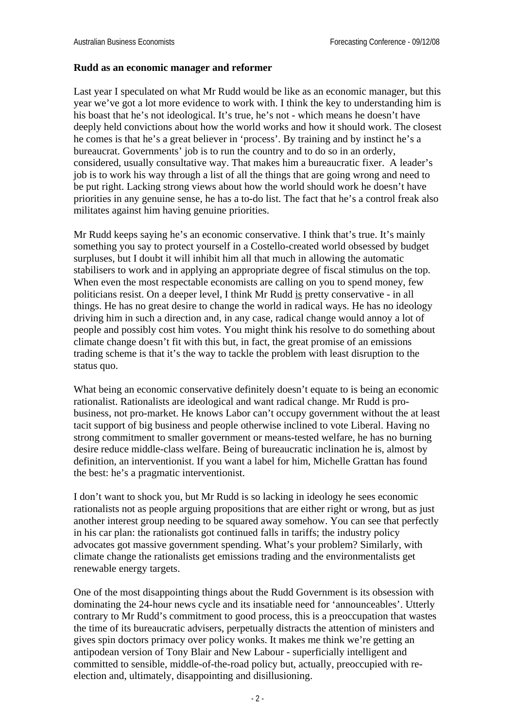### **Rudd as an economic manager and reformer**

Last year I speculated on what Mr Rudd would be like as an economic manager, but this year we've got a lot more evidence to work with. I think the key to understanding him is his boast that he's not ideological. It's true, he's not - which means he doesn't have deeply held convictions about how the world works and how it should work. The closest he comes is that he's a great believer in 'process'. By training and by instinct he's a bureaucrat. Governments' job is to run the country and to do so in an orderly, considered, usually consultative way. That makes him a bureaucratic fixer. A leader's job is to work his way through a list of all the things that are going wrong and need to be put right. Lacking strong views about how the world should work he doesn't have priorities in any genuine sense, he has a to-do list. The fact that he's a control freak also militates against him having genuine priorities.

Mr Rudd keeps saying he's an economic conservative. I think that's true. It's mainly something you say to protect yourself in a Costello-created world obsessed by budget surpluses, but I doubt it will inhibit him all that much in allowing the automatic stabilisers to work and in applying an appropriate degree of fiscal stimulus on the top. When even the most respectable economists are calling on you to spend money, few politicians resist. On a deeper level, I think Mr Rudd is pretty conservative - in all things. He has no great desire to change the world in radical ways. He has no ideology driving him in such a direction and, in any case, radical change would annoy a lot of people and possibly cost him votes. You might think his resolve to do something about climate change doesn't fit with this but, in fact, the great promise of an emissions trading scheme is that it's the way to tackle the problem with least disruption to the status quo.

What being an economic conservative definitely doesn't equate to is being an economic rationalist. Rationalists are ideological and want radical change. Mr Rudd is probusiness, not pro-market. He knows Labor can't occupy government without the at least tacit support of big business and people otherwise inclined to vote Liberal. Having no strong commitment to smaller government or means-tested welfare, he has no burning desire reduce middle-class welfare. Being of bureaucratic inclination he is, almost by definition, an interventionist. If you want a label for him, Michelle Grattan has found the best: he's a pragmatic interventionist.

I don't want to shock you, but Mr Rudd is so lacking in ideology he sees economic rationalists not as people arguing propositions that are either right or wrong, but as just another interest group needing to be squared away somehow. You can see that perfectly in his car plan: the rationalists got continued falls in tariffs; the industry policy advocates got massive government spending. What's your problem? Similarly, with climate change the rationalists get emissions trading and the environmentalists get renewable energy targets.

One of the most disappointing things about the Rudd Government is its obsession with dominating the 24-hour news cycle and its insatiable need for 'announceables'. Utterly contrary to Mr Rudd's commitment to good process, this is a preoccupation that wastes the time of its bureaucratic advisers, perpetually distracts the attention of ministers and gives spin doctors primacy over policy wonks. It makes me think we're getting an antipodean version of Tony Blair and New Labour - superficially intelligent and committed to sensible, middle-of-the-road policy but, actually, preoccupied with reelection and, ultimately, disappointing and disillusioning.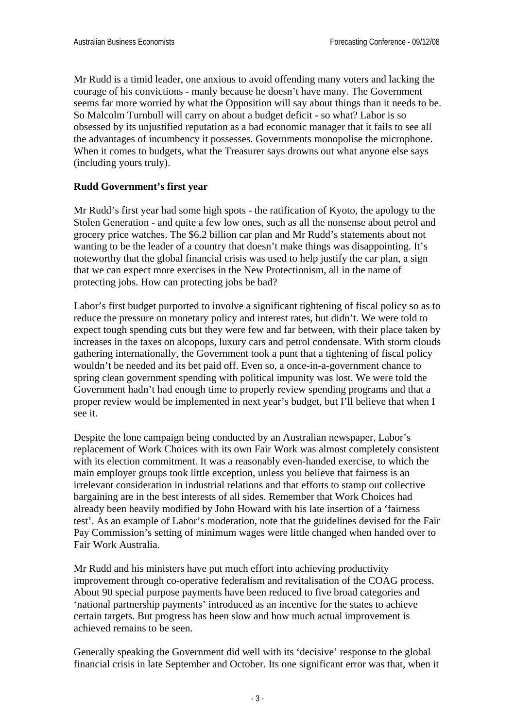Mr Rudd is a timid leader, one anxious to avoid offending many voters and lacking the courage of his convictions - manly because he doesn't have many. The Government seems far more worried by what the Opposition will say about things than it needs to be. So Malcolm Turnbull will carry on about a budget deficit - so what? Labor is so obsessed by its unjustified reputation as a bad economic manager that it fails to see all the advantages of incumbency it possesses. Governments monopolise the microphone. When it comes to budgets, what the Treasurer says drowns out what anyone else says (including yours truly).

## **Rudd Government's first year**

Mr Rudd's first year had some high spots - the ratification of Kyoto, the apology to the Stolen Generation - and quite a few low ones, such as all the nonsense about petrol and grocery price watches. The \$6.2 billion car plan and Mr Rudd's statements about not wanting to be the leader of a country that doesn't make things was disappointing. It's noteworthy that the global financial crisis was used to help justify the car plan, a sign that we can expect more exercises in the New Protectionism, all in the name of protecting jobs. How can protecting jobs be bad?

Labor's first budget purported to involve a significant tightening of fiscal policy so as to reduce the pressure on monetary policy and interest rates, but didn't. We were told to expect tough spending cuts but they were few and far between, with their place taken by increases in the taxes on alcopops, luxury cars and petrol condensate. With storm clouds gathering internationally, the Government took a punt that a tightening of fiscal policy wouldn't be needed and its bet paid off. Even so, a once-in-a-government chance to spring clean government spending with political impunity was lost. We were told the Government hadn't had enough time to properly review spending programs and that a proper review would be implemented in next year's budget, but I'll believe that when I see it.

Despite the lone campaign being conducted by an Australian newspaper, Labor's replacement of Work Choices with its own Fair Work was almost completely consistent with its election commitment. It was a reasonably even-handed exercise, to which the main employer groups took little exception, unless you believe that fairness is an irrelevant consideration in industrial relations and that efforts to stamp out collective bargaining are in the best interests of all sides. Remember that Work Choices had already been heavily modified by John Howard with his late insertion of a 'fairness test'. As an example of Labor's moderation, note that the guidelines devised for the Fair Pay Commission's setting of minimum wages were little changed when handed over to Fair Work Australia.

Mr Rudd and his ministers have put much effort into achieving productivity improvement through co-operative federalism and revitalisation of the COAG process. About 90 special purpose payments have been reduced to five broad categories and 'national partnership payments' introduced as an incentive for the states to achieve certain targets. But progress has been slow and how much actual improvement is achieved remains to be seen.

Generally speaking the Government did well with its 'decisive' response to the global financial crisis in late September and October. Its one significant error was that, when it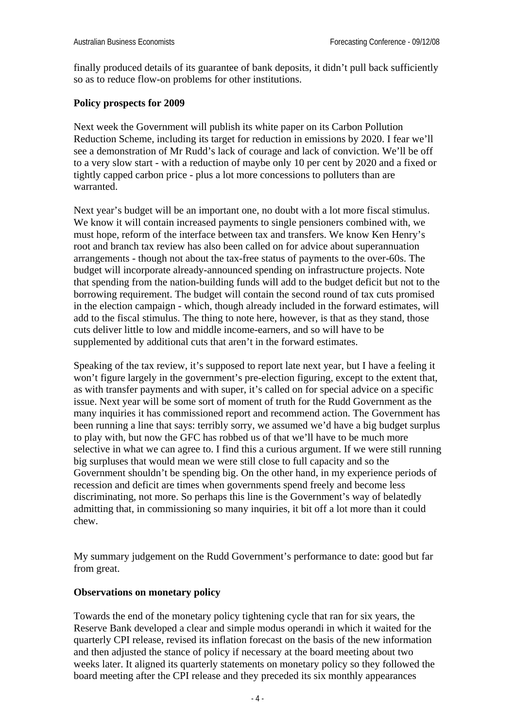finally produced details of its guarantee of bank deposits, it didn't pull back sufficiently so as to reduce flow-on problems for other institutions.

# **Policy prospects for 2009**

Next week the Government will publish its white paper on its Carbon Pollution Reduction Scheme, including its target for reduction in emissions by 2020. I fear we'll see a demonstration of Mr Rudd's lack of courage and lack of conviction. We'll be off to a very slow start - with a reduction of maybe only 10 per cent by 2020 and a fixed or tightly capped carbon price - plus a lot more concessions to polluters than are warranted.

Next year's budget will be an important one, no doubt with a lot more fiscal stimulus. We know it will contain increased payments to single pensioners combined with, we must hope, reform of the interface between tax and transfers. We know Ken Henry's root and branch tax review has also been called on for advice about superannuation arrangements - though not about the tax-free status of payments to the over-60s. The budget will incorporate already-announced spending on infrastructure projects. Note that spending from the nation-building funds will add to the budget deficit but not to the borrowing requirement. The budget will contain the second round of tax cuts promised in the election campaign - which, though already included in the forward estimates, will add to the fiscal stimulus. The thing to note here, however, is that as they stand, those cuts deliver little to low and middle income-earners, and so will have to be supplemented by additional cuts that aren't in the forward estimates.

Speaking of the tax review, it's supposed to report late next year, but I have a feeling it won't figure largely in the government's pre-election figuring, except to the extent that, as with transfer payments and with super, it's called on for special advice on a specific issue. Next year will be some sort of moment of truth for the Rudd Government as the many inquiries it has commissioned report and recommend action. The Government has been running a line that says: terribly sorry, we assumed we'd have a big budget surplus to play with, but now the GFC has robbed us of that we'll have to be much more selective in what we can agree to. I find this a curious argument. If we were still running big surpluses that would mean we were still close to full capacity and so the Government shouldn't be spending big. On the other hand, in my experience periods of recession and deficit are times when governments spend freely and become less discriminating, not more. So perhaps this line is the Government's way of belatedly admitting that, in commissioning so many inquiries, it bit off a lot more than it could chew.

My summary judgement on the Rudd Government's performance to date: good but far from great.

#### **Observations on monetary policy**

Towards the end of the monetary policy tightening cycle that ran for six years, the Reserve Bank developed a clear and simple modus operandi in which it waited for the quarterly CPI release, revised its inflation forecast on the basis of the new information and then adjusted the stance of policy if necessary at the board meeting about two weeks later. It aligned its quarterly statements on monetary policy so they followed the board meeting after the CPI release and they preceded its six monthly appearances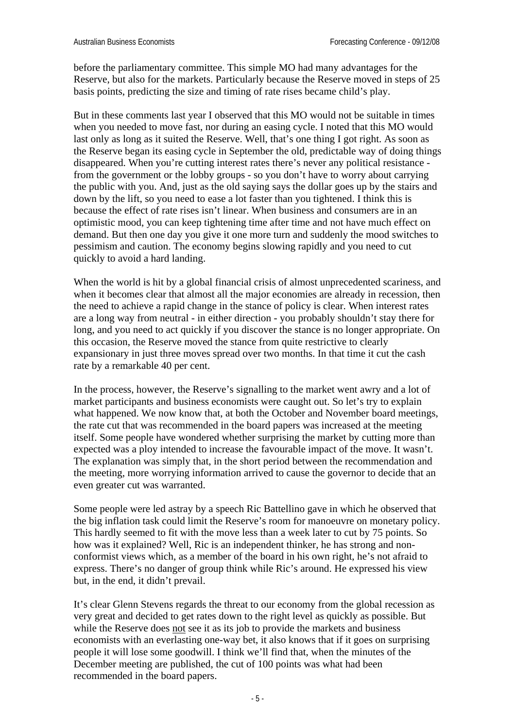before the parliamentary committee. This simple MO had many advantages for the Reserve, but also for the markets. Particularly because the Reserve moved in steps of 25 basis points, predicting the size and timing of rate rises became child's play.

But in these comments last year I observed that this MO would not be suitable in times when you needed to move fast, nor during an easing cycle. I noted that this MO would last only as long as it suited the Reserve. Well, that's one thing I got right. As soon as the Reserve began its easing cycle in September the old, predictable way of doing things disappeared. When you're cutting interest rates there's never any political resistance from the government or the lobby groups - so you don't have to worry about carrying the public with you. And, just as the old saying says the dollar goes up by the stairs and down by the lift, so you need to ease a lot faster than you tightened. I think this is because the effect of rate rises isn't linear. When business and consumers are in an optimistic mood, you can keep tightening time after time and not have much effect on demand. But then one day you give it one more turn and suddenly the mood switches to pessimism and caution. The economy begins slowing rapidly and you need to cut quickly to avoid a hard landing.

When the world is hit by a global financial crisis of almost unprecedented scariness, and when it becomes clear that almost all the major economies are already in recession, then the need to achieve a rapid change in the stance of policy is clear. When interest rates are a long way from neutral - in either direction - you probably shouldn't stay there for long, and you need to act quickly if you discover the stance is no longer appropriate. On this occasion, the Reserve moved the stance from quite restrictive to clearly expansionary in just three moves spread over two months. In that time it cut the cash rate by a remarkable 40 per cent.

In the process, however, the Reserve's signalling to the market went awry and a lot of market participants and business economists were caught out. So let's try to explain what happened. We now know that, at both the October and November board meetings, the rate cut that was recommended in the board papers was increased at the meeting itself. Some people have wondered whether surprising the market by cutting more than expected was a ploy intended to increase the favourable impact of the move. It wasn't. The explanation was simply that, in the short period between the recommendation and the meeting, more worrying information arrived to cause the governor to decide that an even greater cut was warranted.

Some people were led astray by a speech Ric Battellino gave in which he observed that the big inflation task could limit the Reserve's room for manoeuvre on monetary policy. This hardly seemed to fit with the move less than a week later to cut by 75 points. So how was it explained? Well, Ric is an independent thinker, he has strong and nonconformist views which, as a member of the board in his own right, he's not afraid to express. There's no danger of group think while Ric's around. He expressed his view but, in the end, it didn't prevail.

It's clear Glenn Stevens regards the threat to our economy from the global recession as very great and decided to get rates down to the right level as quickly as possible. But while the Reserve does not see it as its job to provide the markets and business economists with an everlasting one-way bet, it also knows that if it goes on surprising people it will lose some goodwill. I think we'll find that, when the minutes of the December meeting are published, the cut of 100 points was what had been recommended in the board papers.